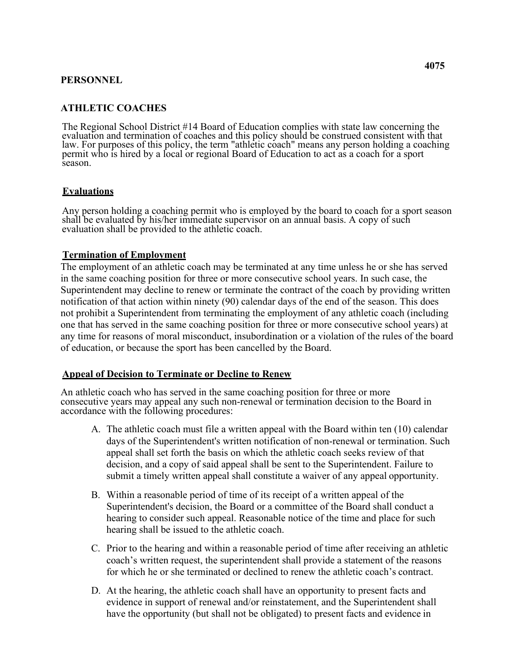## **PERSONNEL**

# **ATHLETIC COACHES**

 permit who is hired by a local or regional Board of Education to act as a coach for a sport The Regional School District #14 Board of Education complies with state law concerning the evaluation and termination of coaches and this policy should be construed consistent with that law. For purposes of this policy, the term "athletic coach" means any person holding a coaching season.

## **Evaluations**

Any person holding a coaching permit who is employed by the board to coach for a sport season shall be evaluated by his/her immediate supervisor on an annual basis. A copy of such evaluation shall be provided to the athletic coach.

## **Termination of Employment**

 of education, or because the sport has been cancelled by the Board. The employment of an athletic coach may be terminated at any time unless he or she has served in the same coaching position for three or more consecutive school years. In such case, the Superintendent may decline to renew or terminate the contract of the coach by providing written notification of that action within ninety (90) calendar days of the end of the season. This does not prohibit a Superintendent from terminating the employment of any athletic coach (including one that has served in the same coaching position for three or more consecutive school years) at any time for reasons of moral misconduct, insubordination or a violation of the rules of the board

## **Appeal of Decision to Terminate or Decline to Renew**

An athletic coach who has served in the same coaching position for three or more consecutive years may appeal any such non-renewal or termination decision to the Board in accordance with the following procedures:

- A. The athletic coach must file a written appeal with the Board within ten (10) calendar submit a timely written appeal shall constitute a waiver of any appeal opportunity. days of the Superintendent's written notification of non-renewal or termination. Such appeal shall set forth the basis on which the athletic coach seeks review of that decision, and a copy of said appeal shall be sent to the Superintendent. Failure to
- hearing shall be issued to the athletic coach. B. Within a reasonable period of time of its receipt of a written appeal of the Superintendent's decision, the Board or a committee of the Board shall conduct a hearing to consider such appeal. Reasonable notice of the time and place for such
- coach's written request, the superintendent shall provide a statement of the reasons for which he or she terminated or declined to renew the athletic coach's contract. C. Prior to the hearing and within a reasonable period of time after receiving an athletic
- have the opportunity (but shall not be obligated) to present facts and evidence in D. At the hearing, the athletic coach shall have an opportunity to present facts and evidence in support of renewal and/or reinstatement, and the Superintendent shall